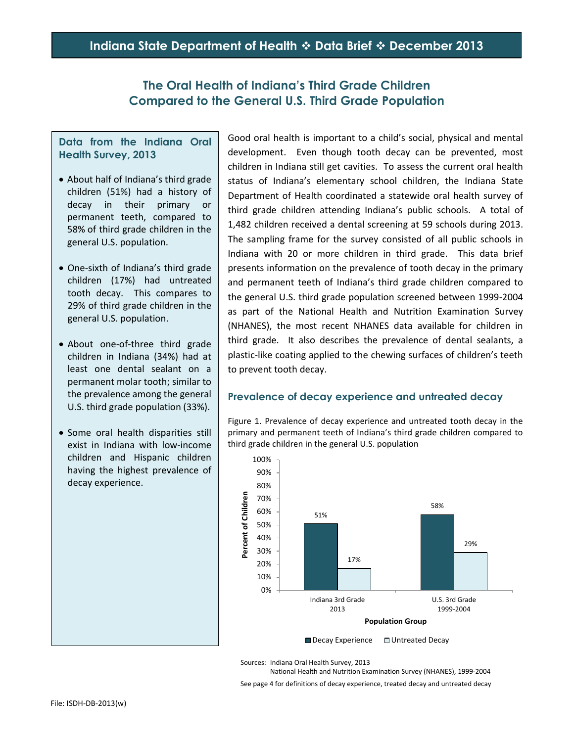## **The Oral Health of Indiana's Third Grade Children Compared to the General U.S. Third Grade Population**

### **Data from the Indiana Oral Health Survey, 2013**

- About half of Indiana's third grade children (51%) had a history of decay in their primary or permanent teeth, compared to 58% of third grade children in the general U.S. population.
- One-sixth of Indiana's third grade children (17%) had untreated tooth decay. This compares to 29% of third grade children in the general U.S. population.
- About one-of-three third grade children in Indiana (34%) had at least one dental sealant on a permanent molar tooth; similar to the prevalence among the general U.S. third grade population (33%).
- Some oral health disparities still exist in Indiana with low-income children and Hispanic children having the highest prevalence of decay experience.

Good oral health is important to a child's social, physical and mental development. Even though tooth decay can be prevented, most children in Indiana still get cavities. To assess the current oral health status of Indiana's elementary school children, the Indiana State Department of Health coordinated a statewide oral health survey of third grade children attending Indiana's public schools. A total of 1,482 children received a dental screening at 59 schools during 2013. The sampling frame for the survey consisted of all public schools in Indiana with 20 or more children in third grade. This data brief presents information on the prevalence of tooth decay in the primary and permanent teeth of Indiana's third grade children compared to the general U.S. third grade population screened between 1999-2004 as part of the National Health and Nutrition Examination Survey (NHANES), the most recent NHANES data available for children in third grade. It also describes the prevalence of dental sealants, a plastic-like coating applied to the chewing surfaces of children's teeth to prevent tooth decay.

## **Prevalence of decay experience and untreated decay**

Figure 1. Prevalence of decay experience and untreated tooth decay in the primary and permanent teeth of Indiana's third grade children compared to third grade children in the general U.S. population



Sources: Indiana Oral Health Survey, 2013

National Health and Nutrition Examination Survey (NHANES), 1999-2004 See page 4 for definitions of decay experience, treated decay and untreated decay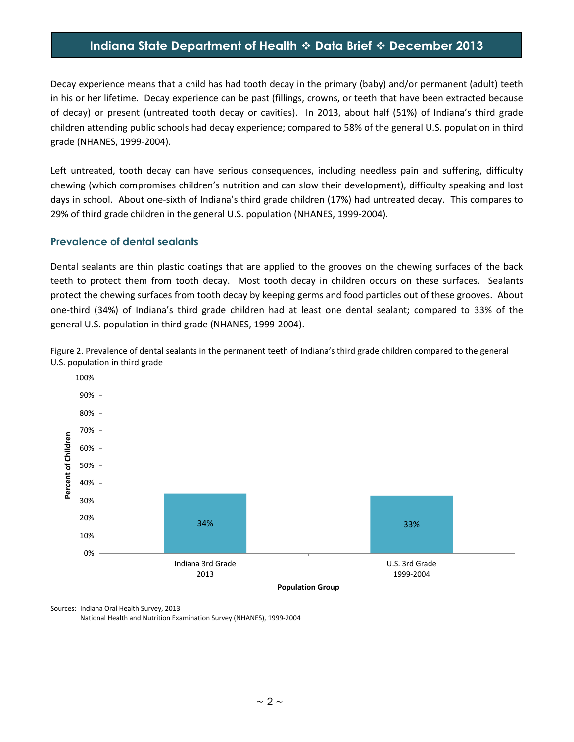# **Indiana State Department of Health Data Brief December 2013**

Decay experience means that a child has had tooth decay in the primary (baby) and/or permanent (adult) teeth in his or her lifetime. Decay experience can be past (fillings, crowns, or teeth that have been extracted because of decay) or present (untreated tooth decay or cavities). In 2013, about half (51%) of Indiana's third grade children attending public schools had decay experience; compared to 58% of the general U.S. population in third grade (NHANES, 1999-2004).

Left untreated, tooth decay can have serious consequences, including needless pain and suffering, difficulty chewing (which compromises children's nutrition and can slow their development), difficulty speaking and lost days in school. About one-sixth of Indiana's third grade children (17%) had untreated decay. This compares to 29% of third grade children in the general U.S. population (NHANES, 1999-2004).

#### **Prevalence of dental sealants**

Dental sealants are thin plastic coatings that are applied to the grooves on the chewing surfaces of the back teeth to protect them from tooth decay. Most tooth decay in children occurs on these surfaces. Sealants protect the chewing surfaces from tooth decay by keeping germs and food particles out of these grooves. About one-third (34%) of Indiana's third grade children had at least one dental sealant; compared to 33% of the general U.S. population in third grade (NHANES, 1999-2004).





Sources: Indiana Oral Health Survey, 2013 National Health and Nutrition Examination Survey (NHANES), 1999-2004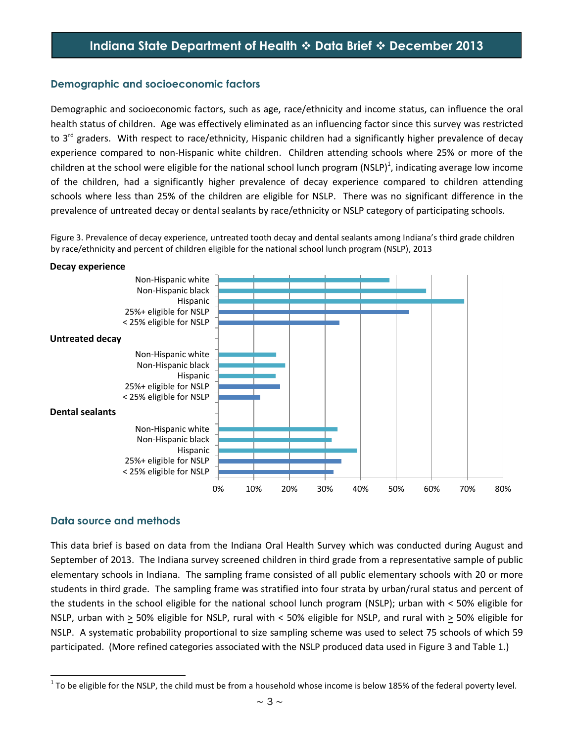## **Demographic and socioeconomic factors**

Demographic and socioeconomic factors, such as age, race/ethnicity and income status, can influence the oral health status of children. Age was effectively eliminated as an influencing factor since this survey was restricted to 3<sup>rd</sup> graders. With respect to race/ethnicity, Hispanic children had a significantly higher prevalence of decay experience compared to non-Hispanic white children. Children attending schools where 25% or more of the children at the school were eligible for the national school lunch program (NSLP)<sup>1</sup>, indicating average low income of the children, had a significantly higher prevalence of decay experience compared to children attending schools where less than 25% of the children are eligible for NSLP. There was no significant difference in the prevalence of untreated decay or dental sealants by race/ethnicity or NSLP category of participating schools.

Figure 3. Prevalence of decay experience, untreated tooth decay and dental sealants among Indiana's third grade children by race/ethnicity and percent of children eligible for the national school lunch program (NSLP), 2013

#### **Decay experience**



## **Data source and methods**

This data brief is based on data from the Indiana Oral Health Survey which was conducted during August and September of 2013. The Indiana survey screened children in third grade from a representative sample of public elementary schools in Indiana. The sampling frame consisted of all public elementary schools with 20 or more students in third grade. The sampling frame was stratified into four strata by urban/rural status and percent of the students in the school eligible for the national school lunch program (NSLP); urban with < 50% eligible for NSLP, urban with  $\geq$  50% eligible for NSLP, rural with < 50% eligible for NSLP, and rural with  $\geq$  50% eligible for NSLP. A systematic probability proportional to size sampling scheme was used to select 75 schools of which 59 participated. (More refined categories associated with the NSLP produced data used in Figure 3 and Table 1.)

  $^1$  To be eligible for the NSLP, the child must be from a household whose income is below 185% of the federal poverty level.